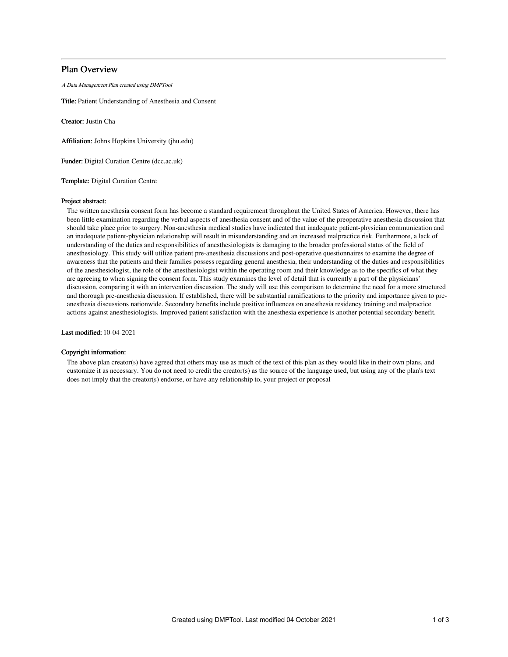# Plan Overview

A Data Management Plan created using DMPTool

Title: Patient Understanding of Anesthesia and Consent

Creator: Justin Cha

Affiliation: Johns Hopkins University (jhu.edu)

Funder: Digital Curation Centre (dcc.ac.uk)

Template: Digital Curation Centre

## Project abstract:

The written anesthesia consent form has become a standard requirement throughout the United States of America. However, there has been little examination regarding the verbal aspects of anesthesia consent and of the value of the preoperative anesthesia discussion that should take place prior to surgery. Non-anesthesia medical studies have indicated that inadequate patient-physician communication and an inadequate patient-physician relationship will result in misunderstanding and an increased malpractice risk. Furthermore, a lack of understanding of the duties and responsibilities of anesthesiologists is damaging to the broader professional status of the field of anesthesiology. This study will utilize patient pre-anesthesia discussions and post-operative questionnaires to examine the degree of awareness that the patients and their families possess regarding general anesthesia, their understanding of the duties and responsibilities of the anesthesiologist, the role of the anesthesiologist within the operating room and their knowledge as to the specifics of what they are agreeing to when signing the consent form. This study examines the level of detail that is currently a part of the physicians' discussion, comparing it with an intervention discussion. The study will use this comparison to determine the need for a more structured and thorough pre-anesthesia discussion. If established, there will be substantial ramifications to the priority and importance given to preanesthesia discussions nationwide. Secondary benefits include positive influences on anesthesia residency training and malpractice actions against anesthesiologists. Improved patient satisfaction with the anesthesia experience is another potential secondary benefit.

Last modified: 10-04-2021

## Copyright information:

The above plan creator(s) have agreed that others may use as much of the text of this plan as they would like in their own plans, and customize it as necessary. You do not need to credit the creator(s) as the source of the language used, but using any of the plan's text does not imply that the creator(s) endorse, or have any relationship to, your project or proposal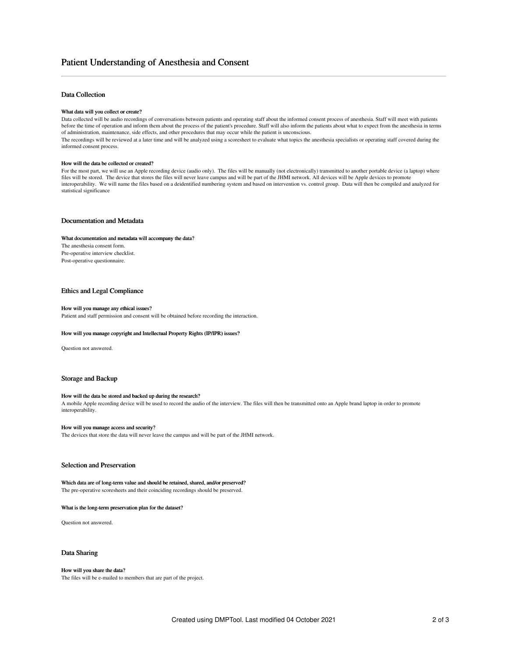# Data Collection

#### What data will you collect or create?

Data collected will be audio recordings of conversations between patients and operating staff about the informed consent process of anesthesia. Staff will meet with patients before the time of operation and inform them about the process of the patient's procedure. Staff will also inform the patients about what to expect from the anesthesia in terms of administration, maintenance, side effects, and other procedures that may occur while the patient is unconscious.

The recordings will be reviewed at a later time and will be analyzed using a scoresheet to evaluate what topics the anesthesia specialists or operating staff covered during the informed consent process.

### How will the data be collected or created?

For the most part, we will use an Apple recording device (audio only). The files will be manually (not electronically) transmitted to another portable device (a laptop) where files will be stored. The device that stores the files will never leave campus and will be part of the JHMI network. All devices will be Apple devices to promote interoperability. We will name the files based on a deidentified numbering system and based on intervention vs. control group. Data will then be compiled and analyzed for statistical significance

## Documentation and Metadata

#### What documentation and metadata will accompany the data?

The anesthesia consent form. Pre-operative interview checklist. Post-operative questionnaire.

## Ethics and Legal Compliance

### How will you manage any ethical issues?

Patient and staff permission and consent will be obtained before recording the interaction.

#### How will you manage copyright and Intellectual Property Rights (IP/IPR) issues?

Question not answered.

## Storage and Backup

## How will the data be stored and backed up during the research?

A mobile Apple recording device will be used to record the audio of the interview. The files will then be transmitted onto an Apple brand laptop in order to promote interoperability.

### How will you manage access and security?

The devices that store the data will never leave the campus and will be part of the JHMI network.

# Selection and Preservation

Which data are of long-term value and should be retained, shared, and/or preserved? The pre-operative scoresheets and their coinciding recordings should be preserved.

#### What is the long-term preservation plan for the dataset?

Question not answered.

## Data Sharing

## How will you share the data?

The files will be e-mailed to members that are part of the project.